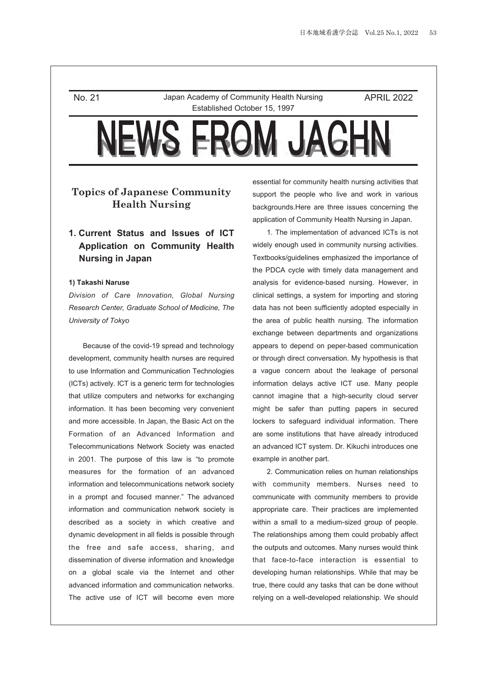No. 21 Japan Academy of Community Health Nursing Established October 15, 1997

APRIL 2022

# **Topics of Japanese Community Health Nursing**

# **1. Current Status and Issues of ICT Application on Community Health Nursing in Japan**

#### **1) Takashi Naruse**

*Division of Care Innovation, Global Nursing Research Center, Graduate School of Medicine, The University of Tokyo*

Because of the covid-19 spread and technology development, community health nurses are required to use Information and Communication Technologies (ICTs) actively. ICT is a generic term for technologies that utilize computers and networks for exchanging information. It has been becoming very convenient and more accessible. In Japan, the Basic Act on the Formation of an Advanced Information and Telecommunications Network Society was enacted in 2001. The purpose of this law is "to promote measures for the formation of an advanced information and telecommunications network society in a prompt and focused manner." The advanced information and communication network society is described as a society in which creative and dynamic development in all fields is possible through the free and safe access, sharing, and dissemination of diverse information and knowledge on a global scale via the Internet and other advanced information and communication networks. The active use of ICT will become even more essential for community health nursing activities that support the people who live and work in various backgrounds.Here are three issues concerning the application of Community Health Nursing in Japan.

1. The implementation of advanced ICTs is not widely enough used in community nursing activities. Textbooks/guidelines emphasized the importance of the PDCA cycle with timely data management and analysis for evidence-based nursing. However, in clinical settings, a system for importing and storing data has not been sufficiently adopted especially in the area of public health nursing. The information exchange between departments and organizations appears to depend on peper-based communication or through direct conversation. My hypothesis is that a vague concern about the leakage of personal information delays active ICT use. Many people cannot imagine that a high-security cloud server might be safer than putting papers in secured lockers to safeguard individual information. There are some institutions that have already introduced an advanced ICT system. Dr. Kikuchi introduces one example in another part.

2. Communication relies on human relationships with community members. Nurses need to communicate with community members to provide appropriate care. Their practices are implemented within a small to a medium-sized group of people. The relationships among them could probably affect the outputs and outcomes. Many nurses would think that face-to-face interaction is essential to developing human relationships. While that may be true, there could any tasks that can be done without relying on a well-developed relationship. We should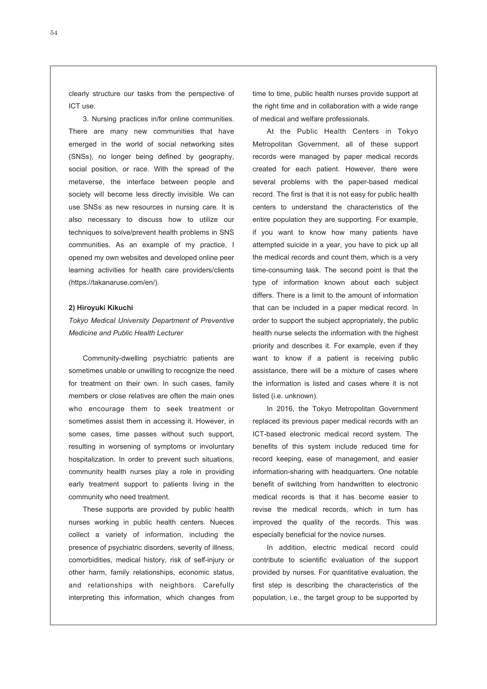clearly structure our tasks from the perspective of ICT use.

3. Nursing practices in/for online communities. There are many new communities that have emerged in the world of social networking sites (SNSs), no longer being defined by geography, social position, or race. With the spread of the metaverse, the interface between people and society will become less directly invisible. We can use SNSs as new resources in nursing care. It is also necessary to discuss how to utilize our techniques to solve/prevent health problems in SNS communities. As an example of my practice, I opened my own websites and developed online peer learning activities for health care providers/clients (https://takanaruse.com/en/).

### **2) Hiroyuki Kikuchi**

*Tokyo Medical University Department of Preventive Medicine and Public Health Lecturer*

Community-dwelling psychiatric patients are sometimes unable or unwilling to recognize the need for treatment on their own. In such cases, family members or close relatives are often the main ones who encourage them to seek treatment or sometimes assist them in accessing it. However, in some cases, time passes without such support, resulting in worsening of symptoms or involuntary hospitalization. In order to prevent such situations, community health nurses play a role in providing early treatment support to patients living in the community who need treatment.

These supports are provided by public health nurses working in public health centers. Nueces collect a variety of information, including the presence of psychiatric disorders, severity of illness, comorbidities, medical history, risk of self-injury or other harm, family relationships, economic status, and relationships with neighbors. Carefully interpreting this information, which changes from time to time, public health nurses provide support at the right time and in collaboration with a wide range of medical and welfare professionals.

At the Public Health Centers in Tokyo Metropolitan Government, all of these support records were managed by paper medical records created for each patient. However, there were several problems with the paper-based medical record. The first is that it is not easy for public health centers to understand the characteristics of the entire population they are supporting. For example, if you want to know how many patients have attempted suicide in a year, you have to pick up all the medical records and count them, which is a very time-consuming task. The second point is that the type of information known about each subject differs. There is a limit to the amount of information that can be included in a paper medical record. In order to support the subject appropriately, the public health nurse selects the information with the highest priority and describes it. For example, even if they want to know if a patient is receiving public assistance, there will be a mixture of cases where the information is listed and cases where it is not listed (i.e. unknown).

In 2016, the Tokyo Metropolitan Government replaced its previous paper medical records with an ICT-based electronic medical record system. The benefits of this system include reduced time for record keeping, ease of management, and easier information-sharing with headquarters. One notable benefit of switching from handwritten to electronic medical records is that it has become easier to revise the medical records, which in turn has improved the quality of the records. This was especially beneficial for the novice nurses.

In addition, electric medical record could contribute to scientific evaluation of the support provided by nurses. For quantitative evaluation, the first step is describing the characteristics of the population, i.e., the target group to be supported by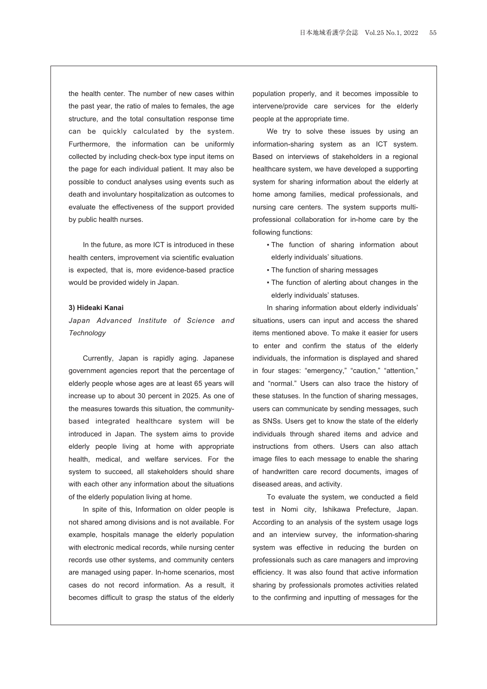the health center. The number of new cases within the past year, the ratio of males to females, the age structure, and the total consultation response time can be quickly calculated by the system. Furthermore, the information can be uniformly collected by including check-box type input items on the page for each individual patient. It may also be possible to conduct analyses using events such as death and involuntary hospitalization as outcomes to evaluate the effectiveness of the support provided by public health nurses.

In the future, as more ICT is introduced in these health centers, improvement via scientific evaluation is expected, that is, more evidence-based practice would be provided widely in Japan.

### **3) Hideaki Kanai**

*Japan Advanced Institute of Science and Technology*

Currently, Japan is rapidly aging. Japanese government agencies report that the percentage of elderly people whose ages are at least 65 years will increase up to about 30 percent in 2025. As one of the measures towards this situation, the communitybased integrated healthcare system will be introduced in Japan. The system aims to provide elderly people living at home with appropriate health, medical, and welfare services. For the system to succeed, all stakeholders should share with each other any information about the situations of the elderly population living at home.

In spite of this, Information on older people is not shared among divisions and is not available. For example, hospitals manage the elderly population with electronic medical records, while nursing center records use other systems, and community centers are managed using paper. In-home scenarios, most cases do not record information. As a result, it becomes difficult to grasp the status of the elderly population properly, and it becomes impossible to intervene/provide care services for the elderly people at the appropriate time.

We try to solve these issues by using an information-sharing system as an ICT system. Based on interviews of stakeholders in a regional healthcare system, we have developed a supporting system for sharing information about the elderly at home among families, medical professionals, and nursing care centers. The system supports multiprofessional collaboration for in-home care by the following functions:

- . The function of sharing information about elderly individuals' situations.
- The function of sharing messages
- The function of alerting about changes in the elderly individuals' statuses.

In sharing information about elderly individuals' situations, users can input and access the shared items mentioned above. To make it easier for users to enter and confirm the status of the elderly individuals, the information is displayed and shared in four stages: "emergency," "caution," "attention," and "normal." Users can also trace the history of these statuses. In the function of sharing messages, users can communicate by sending messages, such as SNSs. Users get to know the state of the elderly individuals through shared items and advice and instructions from others. Users can also attach image files to each message to enable the sharing of handwritten care record documents, images of diseased areas, and activity.

To evaluate the system, we conducted a field test in Nomi city, Ishikawa Prefecture, Japan. According to an analysis of the system usage logs and an interview survey, the information-sharing system was effective in reducing the burden on professionals such as care managers and improving efficiency. It was also found that active information sharing by professionals promotes activities related to the confirming and inputting of messages for the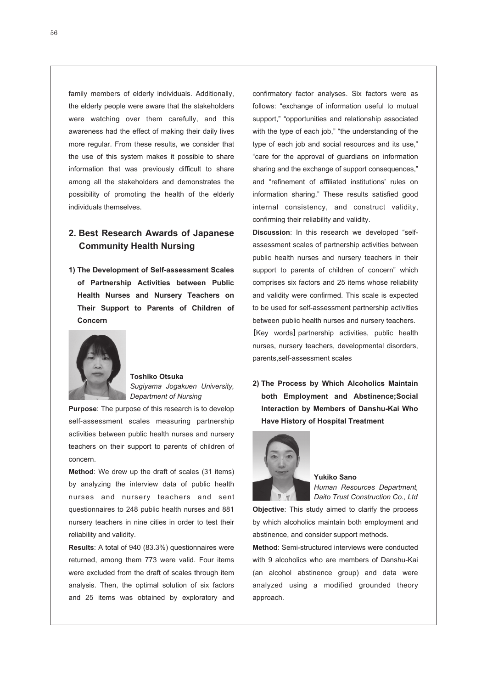family members of elderly individuals. Additionally, the elderly people were aware that the stakeholders were watching over them carefully, and this awareness had the effect of making their daily lives more regular. From these results, we consider that the use of this system makes it possible to share information that was previously difficult to share among all the stakeholders and demonstrates the possibility of promoting the health of the elderly individuals themselves.

# **2. Best Research Awards of Japanese Community Health Nursing**

**1) The Development of Self-assessment Scales of Partnership Activities between Public Health Nurses and Nursery Teachers on Their Support to Parents of Children of Concern**



### **Toshiko Otsuka** *Sugiyama Jogakuen University, Department of Nursing*

**Purpose**: The purpose of this research is to develop self-assessment scales measuring partnership activities between public health nurses and nursery teachers on their support to parents of children of concern.

**Method**: We drew up the draft of scales (31 items) by analyzing the interview data of public health nurses and nursery teachers and sent questionnaires to 248 public health nurses and 881 nursery teachers in nine cities in order to test their reliability and validity.

**Results**: A total of 940 (83.3%) questionnaires were returned, among them 773 were valid. Four items were excluded from the draft of scales through item analysis. Then, the optimal solution of six factors and 25 items was obtained by exploratory and

confirmatory factor analyses. Six factors were as follows: "exchange of information useful to mutual support," "opportunities and relationship associated with the type of each job," "the understanding of the type of each job and social resources and its use," "care for the approval of guardians on information sharing and the exchange of support consequences," and "refinement of affiliated institutions' rules on information sharing." These results satisfied good internal consistency, and construct validity, confirming their reliability and validity.

**Discussion**: In this research we developed "selfassessment scales of partnership activities between public health nurses and nursery teachers in their support to parents of children of concern" which comprises six factors and 25 items whose reliability and validity were confirmed. This scale is expected to be used for self-assessment partnership activities between public health nurses and nursery teachers. **【**Key words**】**partnership activities, public health nurses, nursery teachers, developmental disorders, parents,self-assessment scales

**2) The Process by Which Alcoholics Maintain both Employment and Abstinence;Social Interaction by Members of Danshu-Kai Who Have History of Hospital Treatment**



**Yukiko Sano** *Human Resources Department, Daito Trust Construction Co., Ltd*

**Objective**: This study aimed to clarify the process by which alcoholics maintain both employment and abstinence, and consider support methods.

**Method**: Semi-structured interviews were conducted with 9 alcoholics who are members of Danshu-Kai (an alcohol abstinence group) and data were analyzed using a modified grounded theory approach.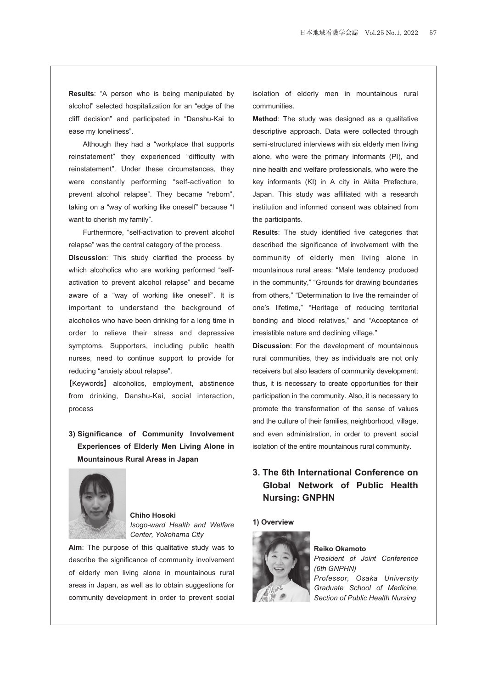**Results**: "A person who is being manipulated by alcohol" selected hospitalization for an "edge of the cliff decision" and participated in "Danshu-Kai to ease my loneliness".

Although they had a "workplace that supports reinstatement" they experienced "difficulty with reinstatement". Under these circumstances, they were constantly performing "self-activation to prevent alcohol relapse". They became "reborn", taking on a "way of working like oneself" because "I want to cherish my family".

Furthermore, "self-activation to prevent alcohol relapse" was the central category of the process.

**Discussion**: This study clarified the process by which alcoholics who are working performed "selfactivation to prevent alcohol relapse" and became aware of a "way of working like oneself". It is important to understand the background of alcoholics who have been drinking for a long time in order to relieve their stress and depressive symptoms. Supporters, including public health nurses, need to continue support to provide for reducing "anxiety about relapse".

**【**Keywords**】** alcoholics, employment, abstinence from drinking, Danshu-Kai, social interaction, process

**3) Significance of Community Involvement Experiences of Elderly Men Living Alone in Mountainous Rural Areas in Japan**



**Chiho Hosoki** *Isogo-ward Health and Welfare Center, Yokohama City*

**Aim**: The purpose of this qualitative study was to describe the significance of community involvement of elderly men living alone in mountainous rural areas in Japan, as well as to obtain suggestions for community development in order to prevent social isolation of elderly men in mountainous rural communities.

**Method**: The study was designed as a qualitative descriptive approach. Data were collected through semi-structured interviews with six elderly men living alone, who were the primary informants (PI), and nine health and welfare professionals, who were the key informants (KI) in A city in Akita Prefecture, Japan. This study was affiliated with a research institution and informed consent was obtained from the participants.

**Results**: The study identified five categories that described the significance of involvement with the community of elderly men living alone in mountainous rural areas: "Male tendency produced in the community," "Grounds for drawing boundaries from others," "Determination to live the remainder of one's lifetime," "Heritage of reducing territorial bonding and blood relatives," and "Acceptance of irresistible nature and declining village."

**Discussion**: For the development of mountainous rural communities, they as individuals are not only receivers but also leaders of community development; thus, it is necessary to create opportunities for their participation in the community. Also, it is necessary to promote the transformation of the sense of values and the culture of their families, neighborhood, village, and even administration, in order to prevent social isolation of the entire mountainous rural community.

# **3. The 6th International Conference on Global Network of Public Health Nursing: GNPHN**

#### **1) Overview**



# **Reiko Okamoto**

*President of Joint Conference (6th GNPHN) Professor, Osaka University Graduate School of Medicine, Section of Public Health Nursing*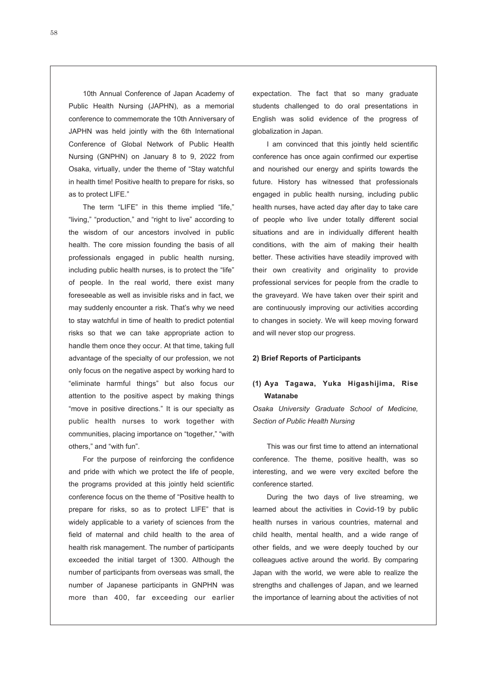10th Annual Conference of Japan Academy of Public Health Nursing (JAPHN), as a memorial conference to commemorate the 10th Anniversary of JAPHN was held jointly with the 6th International Conference of Global Network of Public Health Nursing (GNPHN) on January 8 to 9, 2022 from Osaka, virtually, under the theme of "Stay watchful in health time! Positive health to prepare for risks, so as to protect LIFE."

The term "LIFE" in this theme implied "life," "living," "production," and "right to live" according to the wisdom of our ancestors involved in public health. The core mission founding the basis of all professionals engaged in public health nursing, including public health nurses, is to protect the "life" of people. In the real world, there exist many foreseeable as well as invisible risks and in fact, we may suddenly encounter a risk. That's why we need to stay watchful in time of health to predict potential risks so that we can take appropriate action to handle them once they occur. At that time, taking full advantage of the specialty of our profession, we not only focus on the negative aspect by working hard to "eliminate harmful things" but also focus our attention to the positive aspect by making things "move in positive directions." It is our specialty as public health nurses to work together with communities, placing importance on "together," "with others," and "with fun".

For the purpose of reinforcing the confidence and pride with which we protect the life of people, the programs provided at this jointly held scientific conference focus on the theme of "Positive health to prepare for risks, so as to protect LIFE" that is widely applicable to a variety of sciences from the field of maternal and child health to the area of health risk management. The number of participants exceeded the initial target of 1300. Although the number of participants from overseas was small, the number of Japanese participants in GNPHN was more than 400, far exceeding our earlier

expectation. The fact that so many graduate students challenged to do oral presentations in English was solid evidence of the progress of globalization in Japan.

I am convinced that this jointly held scientific conference has once again confirmed our expertise and nourished our energy and spirits towards the future. History has witnessed that professionals engaged in public health nursing, including public health nurses, have acted day after day to take care of people who live under totally different social situations and are in individually different health conditions, with the aim of making their health better. These activities have steadily improved with their own creativity and originality to provide professional services for people from the cradle to the graveyard. We have taken over their spirit and are continuously improving our activities according to changes in society. We will keep moving forward and will never stop our progress.

#### **2) Brief Reports of Participants**

## **(1) Aya Tagawa, Yuka Higashijima, Rise Watanabe**

*Osaka University Graduate School of Medicine, Section of Public Health Nursing*

This was our first time to attend an international conference. The theme, positive health, was so interesting, and we were very excited before the conference started.

During the two days of live streaming, we learned about the activities in Covid-19 by public health nurses in various countries, maternal and child health, mental health, and a wide range of other fields, and we were deeply touched by our colleagues active around the world. By comparing Japan with the world, we were able to realize the strengths and challenges of Japan, and we learned the importance of learning about the activities of not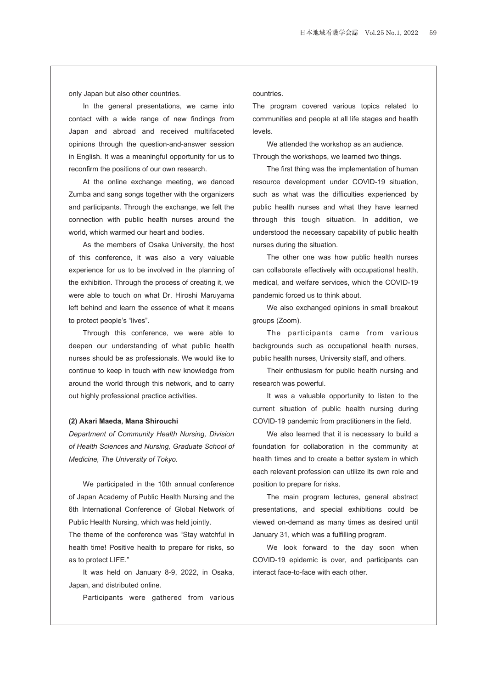only Japan but also other countries.

In the general presentations, we came into contact with a wide range of new findings from Japan and abroad and received multifaceted opinions through the question-and-answer session in English. It was a meaningful opportunity for us to reconfirm the positions of our own research.

At the online exchange meeting, we danced Zumba and sang songs together with the organizers and participants. Through the exchange, we felt the connection with public health nurses around the world, which warmed our heart and bodies.

As the members of Osaka University, the host of this conference, it was also a very valuable experience for us to be involved in the planning of the exhibition. Through the process of creating it, we were able to touch on what Dr. Hiroshi Maruyama left behind and learn the essence of what it means to protect people's "lives".

Through this conference, we were able to deepen our understanding of what public health nurses should be as professionals. We would like to continue to keep in touch with new knowledge from around the world through this network, and to carry out highly professional practice activities.

#### **(2) Akari Maeda, Mana Shirouchi**

*Department of Community Health Nursing, Division of Health Sciences and Nursing, Graduate School of Medicine, The University of Tokyo.*

We participated in the 10th annual conference of Japan Academy of Public Health Nursing and the 6th International Conference of Global Network of Public Health Nursing, which was held jointly.

The theme of the conference was "Stay watchful in health time! Positive health to prepare for risks, so as to protect LIFE."

It was held on January 8-9, 2022, in Osaka, Japan, and distributed online.

Participants were gathered from various

countries.

The program covered various topics related to communities and people at all life stages and health levels.

We attended the workshop as an audience. Through the workshops, we learned two things.

The first thing was the implementation of human resource development under COVID-19 situation, such as what was the difficulties experienced by public health nurses and what they have learned through this tough situation. In addition, we understood the necessary capability of public health nurses during the situation.

The other one was how public health nurses can collaborate effectively with occupational health, medical, and welfare services, which the COVID-19 pandemic forced us to think about.

We also exchanged opinions in small breakout groups (Zoom).

The participants came from various backgrounds such as occupational health nurses, public health nurses, University staff, and others.

Their enthusiasm for public health nursing and research was powerful.

It was a valuable opportunity to listen to the current situation of public health nursing during COVID-19 pandemic from practitioners in the field.

We also learned that it is necessary to build a foundation for collaboration in the community at health times and to create a better system in which each relevant profession can utilize its own role and position to prepare for risks.

The main program lectures, general abstract presentations, and special exhibitions could be viewed on-demand as many times as desired until January 31, which was a fulfilling program.

We look forward to the day soon when COVID-19 epidemic is over, and participants can interact face-to-face with each other.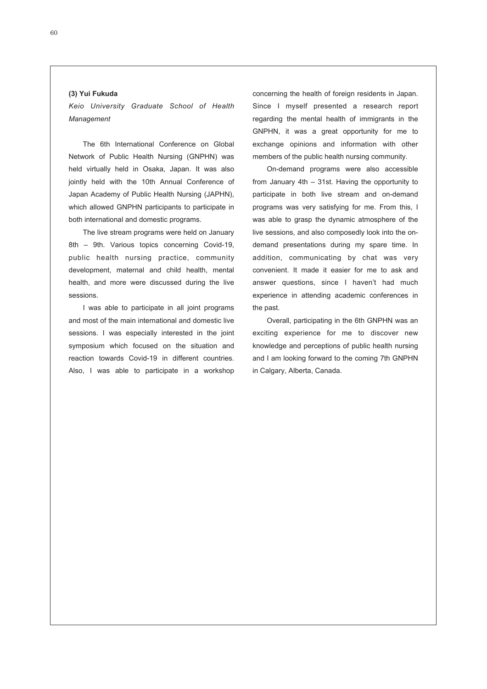### **(3) Yui Fukuda**

*Keio University Graduate School of Health Management*

The 6th International Conference on Global Network of Public Health Nursing (GNPHN) was held virtually held in Osaka, Japan. It was also jointly held with the 10th Annual Conference of Japan Academy of Public Health Nursing (JAPHN), which allowed GNPHN participants to participate in both international and domestic programs.

The live stream programs were held on January 8th – 9th. Various topics concerning Covid-19, public health nursing practice, community development, maternal and child health, mental health, and more were discussed during the live sessions.

I was able to participate in all joint programs and most of the main international and domestic live sessions. I was especially interested in the joint symposium which focused on the situation and reaction towards Covid-19 in different countries. Also, I was able to participate in a workshop concerning the health of foreign residents in Japan. Since I myself presented a research report regarding the mental health of immigrants in the GNPHN, it was a great opportunity for me to exchange opinions and information with other members of the public health nursing community.

On-demand programs were also accessible from January 4th – 31st. Having the opportunity to participate in both live stream and on-demand programs was very satisfying for me. From this, I was able to grasp the dynamic atmosphere of the live sessions, and also composedly look into the ondemand presentations during my spare time. In addition, communicating by chat was very convenient. It made it easier for me to ask and answer questions, since I haven't had much experience in attending academic conferences in the past.

Overall, participating in the 6th GNPHN was an exciting experience for me to discover new knowledge and perceptions of public health nursing and I am looking forward to the coming 7th GNPHN in Calgary, Alberta, Canada.